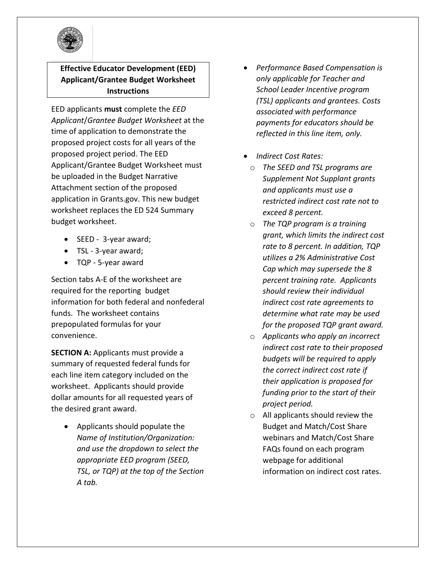

## **Effective Educator Development (EED) Applicant/Grantee Budget Worksheet Instructions**

EED applicants **must** complete the *EED Applicant*/*Grantee Budget Worksheet* at the time of application to demonstrate the proposed project costs for all years of the proposed project period. The EED Applicant/Grantee Budget Worksheet must be uploaded in the Budget Narrative Attachment section of the proposed application in Grants.gov. This new budget worksheet replaces the ED 524 Summary budget worksheet.

- SEED 3-year award;
- TSL 3-year award;
- TQP 5-year award

Section tabs A-E of the worksheet are required for the reporting budget information for both federal and nonfederal funds. The worksheet contains prepopulated formulas for your convenience.

**SECTION A:** Applicants must provide a summary of requested federal funds for each line item category included on the worksheet. Applicants should provide dollar amounts for all requested years of the desired grant award.

• Applicants should populate the *Name of Institution/Organization: and use the dropdown to select the appropriate EED program (SEED, TSL, or TQP) at the top of the Section A tab.* 

- *Performance Based Compensation is only applicable for Teacher and School Leader Incentive program (TSL) applicants and grantees. Costs associated with performance payments for educators should be reflected in this line item, only.*
- *Indirect Cost Rates:* 
	- o *The SEED and TSL programs are Supplement Not Supplant grants and applicants must use a restricted indirect cost rate not to exceed 8 percent.*
	- o *The TQP program is a training grant, which limits the indirect cost rate to 8 percent. In addition, TQP utilizes a 2% Administrative Cost Cap which may supersede the 8 percent training rate. Applicants should review their individual indirect cost rate agreements to determine what rate may be used for the proposed TQP grant award.*
	- o *Applicants who apply an incorrect indirect cost rate to their proposed budgets will be required to apply the correct indirect cost rate if their application is proposed for funding prior to the start of their project period.*
	- o All applicants should review the Budget and Match/Cost Share webinars and Match/Cost Share FAQs found on each program webpage for additional information on indirect cost rates.